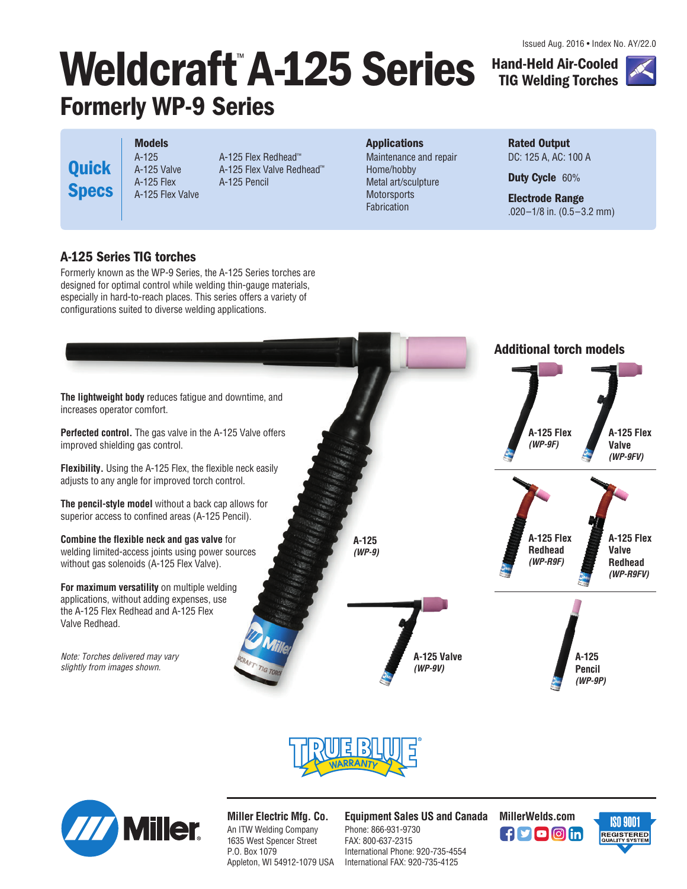Issued Aug. 2016 • Index No. AY/22.0

**Hand-Held Air-Cooled TIG Welding Torches**



# **Weldcraft**™ **A-125 Series Formerly WP-9 Series**

**Quick Specs**

**Models** A-125 A-125 Valve A-125 Flex A-125 Flex Valve

A-125 Flex Redhead™ A-125 Flex Valve Redhead™ A-125 Pencil

#### **Applications**

Maintenance and repair Home/hobby Metal art/sculpture **Motorsports Fabrication** 

#### **Rated Output** DC: 125 A, AC: 100 A

**Duty Cycle** 60%

**Electrode Range** .020–1/8 in. (0.5–3.2 mm)

### **A-125 Series TIG torches**

Formerly known as the WP-9 Series, the A-125 Series torches are designed for optimal control while welding thin-gauge materials, especially in hard-to-reach places. This series offers a variety of configurations suited to diverse welding applications.







*Miller Electric Mfg. Co.* An ITW Welding Company 1635 West Spencer Street P.O. Box 1079

Appleton, WI 54912-1079 USA

*Equipment Sales US and Canada MillerWelds.com*

Phone: 866-931-9730 FAX: 800-637-2315 International Phone: 920-735-4554 International FAX: 920-735-4125



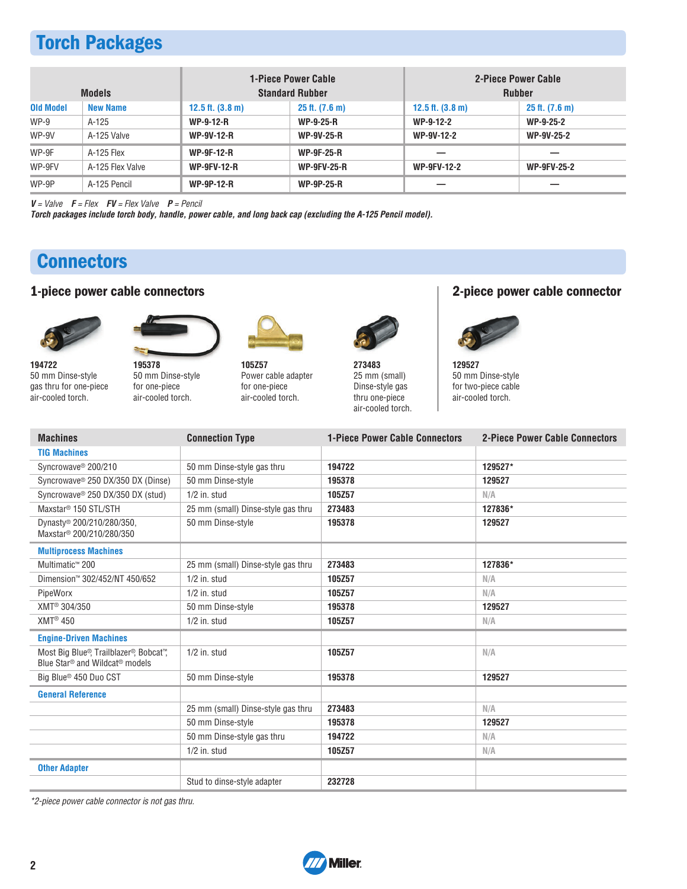# **Torch Packages**

| <b>Models</b>    |                  |                              | <b>1-Piece Power Cable</b><br><b>Standard Rubber</b> | <b>2-Piece Power Cable</b><br><b>Rubber</b> |                     |  |
|------------------|------------------|------------------------------|------------------------------------------------------|---------------------------------------------|---------------------|--|
| <b>Old Model</b> | <b>New Name</b>  | $12.5$ ft. $(3.8 \text{ m})$ | $25$ ft. $(7.6)$ m)                                  |                                             | $25$ ft. $(7.6)$ m) |  |
| $WP-9$           | $A-125$          | <b>WP-9-12-R</b>             | <b>WP-9-25-R</b>                                     | WP-9-12-2                                   | WP-9-25-2           |  |
| WP-9V            | A-125 Valve      | <b>WP-9V-12-R</b>            | <b>WP-9V-25-R</b>                                    | WP-9V-12-2                                  | <b>WP-9V-25-2</b>   |  |
| WP-9F            | A-125 Flex       | <b>WP-9F-12-R</b>            | <b>WP-9F-25-R</b>                                    |                                             |                     |  |
| WP-9FV           | A-125 Flex Valve | <b>WP-9FV-12-R</b>           | <b>WP-9FV-25-R</b>                                   | <b>WP-9FV-12-2</b>                          | <b>WP-9FV-25-2</b>  |  |
| WP-9P            | A-125 Pencil     | <b>WP-9P-12-R</b>            | <b>WP-9P-25-R</b>                                    |                                             |                     |  |

*V* = Valve *F* = Flex *FV* = Flex Valve *P* = Pencil

*Torch packages include torch body, handle, power cable, and long back cap (excluding the A-125 Pencil model).*

# **Connectors**

### **1-piece power cable connectors 2-piece power cable connector**





*194722* 50 mm Dinse-style gas thru for one-piece air-cooled torch.

*195378* 50 mm Dinse-style for one-piece air-cooled torch.



*105Z57* Power cable adapter for one-piece air-cooled torch.



*273483* 25 mm (small) Dinse-style gas thru one-piece air-cooled torch.



*129527* 50 mm Dinse-style for two-piece cable air-cooled torch.

| <b>Machines</b>                                                                                  | <b>Connection Type</b>             | <b>1-Piece Power Cable Connectors</b> | <b>2-Piece Power Cable Connectors</b> |  |  |
|--------------------------------------------------------------------------------------------------|------------------------------------|---------------------------------------|---------------------------------------|--|--|
| <b>TIG Machines</b>                                                                              |                                    |                                       |                                       |  |  |
| Syncrowave <sup>®</sup> 200/210                                                                  | 50 mm Dinse-style gas thru         | 194722                                | 129527*                               |  |  |
| Syncrowave <sup>®</sup> 250 DX/350 DX (Dinse)                                                    | 50 mm Dinse-style                  | 195378                                | 129527                                |  |  |
| Syncrowaye <sup>®</sup> 250 DX/350 DX (stud)                                                     | $1/2$ in. stud                     | 105Z57                                | N/A                                   |  |  |
| Maxstar <sup>®</sup> 150 STL/STH                                                                 | 25 mm (small) Dinse-style gas thru | 273483                                | 127836*                               |  |  |
| Dynasty <sup>®</sup> 200/210/280/350,<br>Maxstar <sup>®</sup> 200/210/280/350                    | 50 mm Dinse-style                  | 195378                                | 129527                                |  |  |
| <b>Multiprocess Machines</b>                                                                     |                                    |                                       |                                       |  |  |
| Multimatic <sup>™</sup> 200                                                                      | 25 mm (small) Dinse-style gas thru | 273483                                | 127836*                               |  |  |
| Dimension™ 302/452/NT 450/652                                                                    | $1/2$ in. stud                     | 105Z57                                | N/A                                   |  |  |
| PipeWorx                                                                                         | $1/2$ in. stud                     | 105Z57                                | N/A                                   |  |  |
| XMT <sup>®</sup> 304/350                                                                         | 50 mm Dinse-style                  | 195378                                | 129527                                |  |  |
| $XMT^{\circledR}$ 450                                                                            | $1/2$ in. stud                     | 105Z57                                | N/A                                   |  |  |
| <b>Engine-Driven Machines</b>                                                                    |                                    |                                       |                                       |  |  |
| Most Big Blue®, Trailblazer®, Bobcat™,<br>Blue Star <sup>®</sup> and Wildcat <sup>®</sup> models | $1/2$ in. stud                     | 105Z57                                | N/A                                   |  |  |
| Big Blue <sup>®</sup> 450 Duo CST                                                                | 50 mm Dinse-style                  | 195378                                | 129527                                |  |  |
| <b>General Reference</b>                                                                         |                                    |                                       |                                       |  |  |
|                                                                                                  | 25 mm (small) Dinse-style gas thru | 273483                                | N/A                                   |  |  |
|                                                                                                  | 50 mm Dinse-style                  | 195378                                | 129527                                |  |  |
|                                                                                                  | 50 mm Dinse-style gas thru         | 194722                                | N/A                                   |  |  |
|                                                                                                  | $1/2$ in. stud                     | 105Z57                                | N/A                                   |  |  |
| <b>Other Adapter</b>                                                                             |                                    |                                       |                                       |  |  |
|                                                                                                  | Stud to dinse-style adapter        | 232728                                |                                       |  |  |

\*2-piece power cable connector is not gas thru.

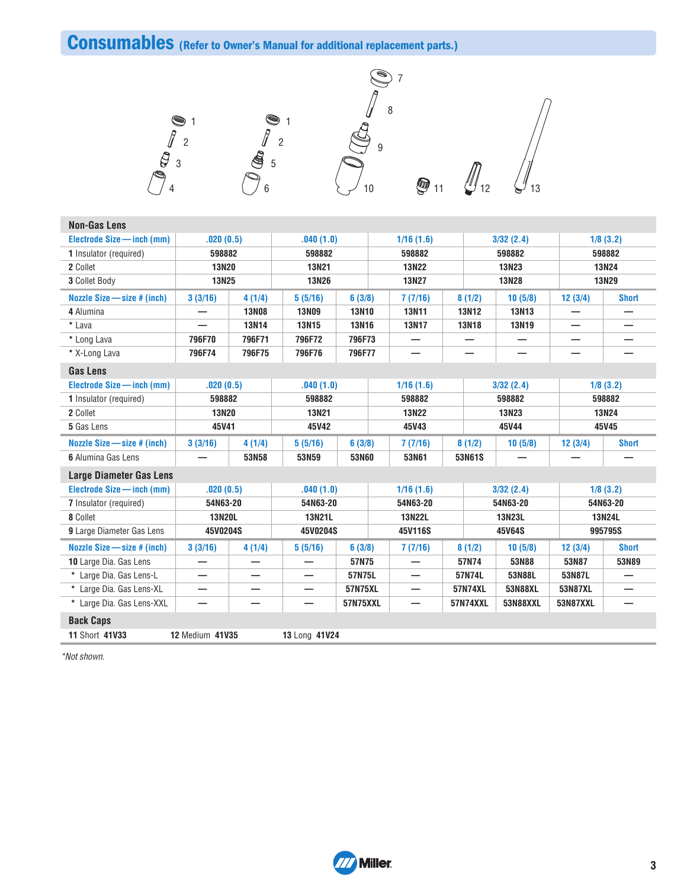# **Consumables (Refer to Owner's Manual for additional replacement parts.)**



| <b>Non-Gas Lens</b>                     |                        |              |               |                   |  |                         |           |              |                 |                 |              |  |
|-----------------------------------------|------------------------|--------------|---------------|-------------------|--|-------------------------|-----------|--------------|-----------------|-----------------|--------------|--|
| Electrode Size - inch (mm)<br>.020(0.5) |                        | .040(1.0)    |               | 1/16(1.6)         |  |                         | 3/32(2.4) |              | 1/8(3.2)        |                 |              |  |
| 1 Insulator (required)                  | 598882                 |              | 598882        |                   |  | 598882                  |           | 598882       |                 | 598882          |              |  |
| 2 Collet                                | <b>13N20</b>           |              | <b>13N21</b>  |                   |  | <b>13N22</b>            |           |              | 13N23           |                 | <b>13N24</b> |  |
| 3 Collet Body                           | <b>13N25</b>           |              | <b>13N26</b>  |                   |  | 13N27                   |           | <b>13N28</b> |                 | <b>13N29</b>    |              |  |
| Nozzle Size - size # (inch)             | 3(3/16)                | 4(1/4)       | 5(5/16)       | 6(3/8)            |  | 7(7/16)                 |           | 8(1/2)       | 10(5/8)         | 12(3/4)         | <b>Short</b> |  |
| 4 Alumina                               |                        | <b>13N08</b> | <b>13N09</b>  | <b>13N10</b>      |  | <b>13N11</b>            |           | <b>13N12</b> | <b>13N13</b>    |                 |              |  |
| * Lava                                  |                        | <b>13N14</b> | <b>13N15</b>  | <b>13N16</b>      |  | <b>13N17</b>            |           | <b>13N18</b> | <b>13N19</b>    | -               |              |  |
| * Long Lava                             | 796F70                 | 796F71       | 796F72        | 796F73            |  |                         |           |              |                 |                 |              |  |
| * X-Long Lava                           | 796F74                 | 796F75       | 796F76        | 796F77            |  |                         |           |              |                 |                 |              |  |
| <b>Gas Lens</b>                         |                        |              |               |                   |  |                         |           |              |                 |                 |              |  |
| Electrode Size - inch (mm)              | .020(0.5)              |              | .040(1.0)     |                   |  | 1/16(1.6)               |           |              | 3/32(2.4)       | 1/8(3.2)        |              |  |
| 1 Insulator (required)                  | 598882                 |              | 598882        |                   |  | 598882                  |           | 598882       | 598882          |                 |              |  |
| 2 Collet                                | <b>13N20</b>           |              | <b>13N21</b>  |                   |  | <b>13N22</b>            |           |              | <b>13N23</b>    | <b>13N24</b>    |              |  |
| 5 Gas Lens                              | 45V41                  |              | 45V42         |                   |  | 45V43<br>45V44          |           | 45V45        |                 |                 |              |  |
| Nozzle Size - size # (inch)             | 3(3/16)                | 4(1/4)       | 5(5/16)       | 6(3/8)            |  | 7(7/16)                 |           | 8(1/2)       | 10(5/8)         | 12(3/4)         | <b>Short</b> |  |
| <b>6</b> Alumina Gas Lens               |                        | 53N58        | 53N59         | 53N60             |  | 53N61                   |           | 53N61S       |                 |                 |              |  |
| <b>Large Diameter Gas Lens</b>          |                        |              |               |                   |  |                         |           |              |                 |                 |              |  |
| Electrode Size - inch (mm)              | .020(0.5)              |              | .040(1.0)     |                   |  | 1/16(1.6)               |           |              | 3/32(2.4)       |                 | 1/8(3.2)     |  |
| 7 Insulator (required)                  | 54N63-20               |              | 54N63-20      |                   |  | 54N63-20                |           |              | 54N63-20        | 54N63-20        |              |  |
| 8 Collet                                | <b>13N20L</b>          |              | 13N21L        |                   |  | <b>13N22L</b><br>13N23L |           | 13N24L       |                 |                 |              |  |
| 9 Large Diameter Gas Lens               | 45V0204S               |              | 45V0204S      | 45V116S<br>45V64S |  |                         | 995795S   |              |                 |                 |              |  |
| Nozzle Size - size # (inch)             | 3(3/16)                | 4(1/4)       | 5(5/16)       | 6(3/8)            |  | 7(7/16)                 |           | 8(1/2)       | 10(5/8)         | 12(3/4)         | <b>Short</b> |  |
| 10 Large Dia. Gas Lens                  |                        |              |               | 57N75             |  | -                       |           | 57N74        | 53N88           | 53N87           | 53N89        |  |
| * Large Dia. Gas Lens-L                 |                        |              |               | 57N75L            |  | –                       |           | 57N74L       | 53N88L          | 53N87L          |              |  |
| * Large Dia. Gas Lens-XL                | —                      |              | —             | 57N75XL           |  | -                       |           | 57N74XL      | 53N88XL         | 53N87XL         |              |  |
| * Large Dia. Gas Lens-XXL               |                        |              | —             | <b>57N75XXL</b>   |  | -                       |           | 57N74XXL     | <b>53N88XXL</b> | <b>53N87XXL</b> | —            |  |
| <b>Back Caps</b>                        |                        |              |               |                   |  |                         |           |              |                 |                 |              |  |
| 11 Short 41V33                          | <b>12 Medium 41V35</b> |              | 13 Long 41V24 |                   |  |                         |           |              |                 |                 |              |  |

\*Not shown.